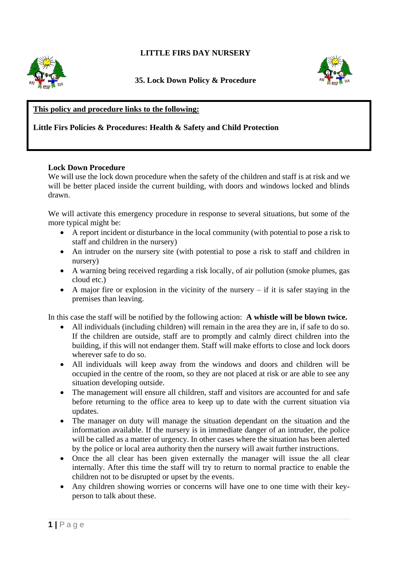# **LITTLE FIRS DAY NURSERY**



## **35. Lock Down Policy & Procedure**



# **This policy and procedure links to the following:**

## **Little Firs Policies & Procedures: Health & Safety and Child Protection**

#### **Lock Down Procedure**

We will use the lock down procedure when the safety of the children and staff is at risk and we will be better placed inside the current building, with doors and windows locked and blinds drawn.

We will activate this emergency procedure in response to several situations, but some of the more typical might be:

- A report incident or disturbance in the local community (with potential to pose a risk to staff and children in the nursery)
- An intruder on the nursery site (with potential to pose a risk to staff and children in nursery)
- A warning being received regarding a risk locally, of air pollution (smoke plumes, gas cloud etc.)
- A major fire or explosion in the vicinity of the nursery  $-$  if it is safer staying in the premises than leaving.

In this case the staff will be notified by the following action: **A whistle will be blown twice.**

- All individuals (including children) will remain in the area they are in, if safe to do so. If the children are outside, staff are to promptly and calmly direct children into the building, if this will not endanger them. Staff will make efforts to close and lock doors wherever safe to do so.
- All individuals will keep away from the windows and doors and children will be occupied in the centre of the room, so they are not placed at risk or are able to see any situation developing outside.
- The management will ensure all children, staff and visitors are accounted for and safe before returning to the office area to keep up to date with the current situation via updates.
- The manager on duty will manage the situation dependant on the situation and the information available. If the nursery is in immediate danger of an intruder, the police will be called as a matter of urgency. In other cases where the situation has been alerted by the police or local area authority then the nursery will await further instructions.
- Once the all clear has been given externally the manager will issue the all clear internally. After this time the staff will try to return to normal practice to enable the children not to be disrupted or upset by the events.
- Any children showing worries or concerns will have one to one time with their keyperson to talk about these.